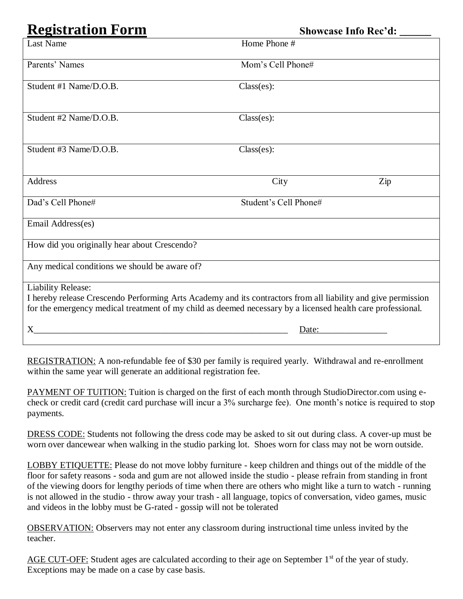## **Registration Form Showcase Info Rec'd: \_\_\_\_\_\_**

| <b>Last Name</b>                                                                                                                                                                                                             | Home Phone #          |
|------------------------------------------------------------------------------------------------------------------------------------------------------------------------------------------------------------------------------|-----------------------|
| Parents' Names                                                                                                                                                                                                               | Mom's Cell Phone#     |
| Student #1 Name/D.O.B.                                                                                                                                                                                                       | Class(es):            |
| Student #2 Name/D.O.B.                                                                                                                                                                                                       | $Class(es)$ :         |
| Student #3 Name/D.O.B.                                                                                                                                                                                                       | Class(es):            |
| Address                                                                                                                                                                                                                      | City<br>Zip           |
| Dad's Cell Phone#                                                                                                                                                                                                            | Student's Cell Phone# |
| Email Address(es)                                                                                                                                                                                                            |                       |
| How did you originally hear about Crescendo?                                                                                                                                                                                 |                       |
| Any medical conditions we should be aware of?                                                                                                                                                                                |                       |
| <b>Liability Release:</b>                                                                                                                                                                                                    |                       |
| I hereby release Crescendo Performing Arts Academy and its contractors from all liability and give permission<br>for the emergency medical treatment of my child as deemed necessary by a licensed health care professional. |                       |
|                                                                                                                                                                                                                              |                       |
| X                                                                                                                                                                                                                            | Date:                 |

REGISTRATION: A non-refundable fee of \$30 per family is required yearly. Withdrawal and re-enrollment within the same year will generate an additional registration fee.

PAYMENT OF TUITION: Tuition is charged on the first of each month through StudioDirector.com using echeck or credit card (credit card purchase will incur a 3% surcharge fee). One month's notice is required to stop payments.

DRESS CODE: Students not following the dress code may be asked to sit out during class. A cover-up must be worn over dancewear when walking in the studio parking lot. Shoes worn for class may not be worn outside.

LOBBY ETIQUETTE: Please do not move lobby furniture - keep children and things out of the middle of the floor for safety reasons - soda and gum are not allowed inside the studio - please refrain from standing in front of the viewing doors for lengthy periods of time when there are others who might like a turn to watch - running is not allowed in the studio - throw away your trash - all language, topics of conversation, video games, music and videos in the lobby must be G-rated - gossip will not be tolerated

OBSERVATION: Observers may not enter any classroom during instructional time unless invited by the teacher.

AGE CUT-OFF: Student ages are calculated according to their age on September 1<sup>st</sup> of the year of study. Exceptions may be made on a case by case basis.